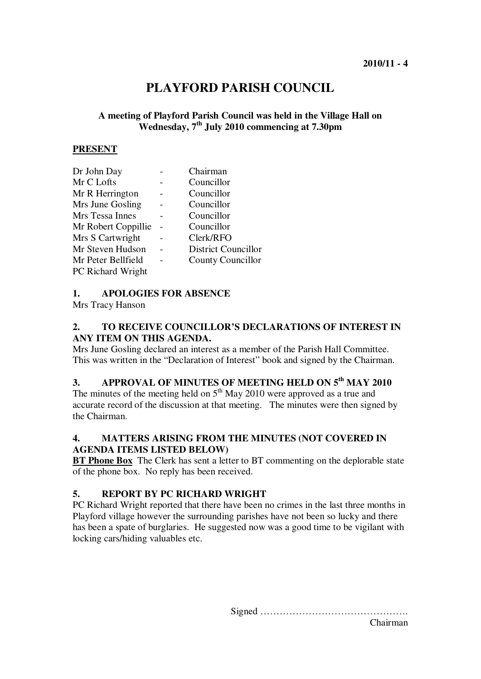## **PLAYFORD PARISH COUNCIL**

## **A meeting of Playford Parish Council was held in the Village Hall on Wednesday, 7th July 2010 commencing at 7.30pm**

#### **PRESENT**

| Dr John Day              | Chairman                   |
|--------------------------|----------------------------|
| Mr C Lofts               | Councillor                 |
| Mr R Herrington          | Councillor                 |
| Mrs June Gosling         | Councillor                 |
| Mrs Tessa Innes          | Councillor                 |
| Mr Robert Coppillie      | Councillor                 |
| Mrs S Cartwright         | Clerk/RFO                  |
| Mr Steven Hudson         | <b>District Councillor</b> |
| Mr Peter Bellfield       | <b>County Councillor</b>   |
| <b>PC Richard Wright</b> |                            |

## **1. APOLOGIES FOR ABSENCE**

Mrs Tracy Hanson

## **2. TO RECEIVE COUNCILLOR'S DECLARATIONS OF INTEREST IN ANY ITEM ON THIS AGENDA.**

Mrs June Gosling declared an interest as a member of the Parish Hall Committee. This was written in the "Declaration of Interest" book and signed by the Chairman.

# **3. APPROVAL OF MINUTES OF MEETING HELD ON 5th MAY 2010**

The minutes of the meeting held on  $5<sup>th</sup>$  May 2010 were approved as a true and accurate record of the discussion at that meeting. The minutes were then signed by the Chairman.

## **4. MATTERS ARISING FROM THE MINUTES (NOT COVERED IN AGENDA ITEMS LISTED BELOW)**

**BT Phone Box** The Clerk has sent a letter to BT commenting on the deplorable state of the phone box. No reply has been received.

## **5. REPORT BY PC RICHARD WRIGHT**

PC Richard Wright reported that there have been no crimes in the last three months in Playford village however the surrounding parishes have not been so lucky and there has been a spate of burglaries. He suggested now was a good time to be vigilant with locking cars/hiding valuables etc.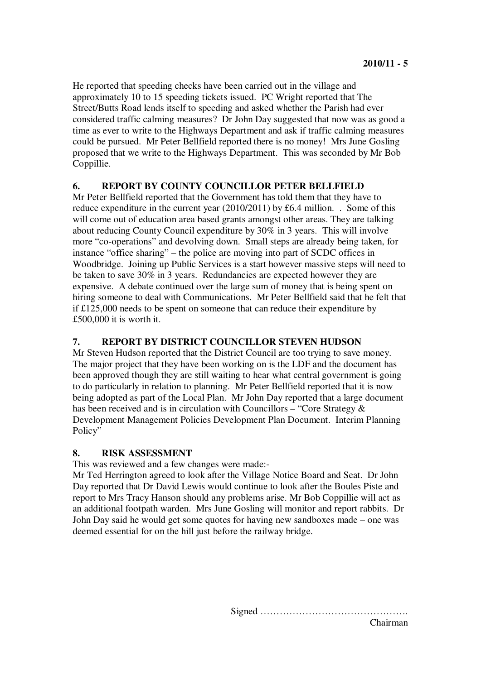He reported that speeding checks have been carried out in the village and approximately 10 to 15 speeding tickets issued. PC Wright reported that The Street/Butts Road lends itself to speeding and asked whether the Parish had ever considered traffic calming measures? Dr John Day suggested that now was as good a time as ever to write to the Highways Department and ask if traffic calming measures could be pursued. Mr Peter Bellfield reported there is no money! Mrs June Gosling proposed that we write to the Highways Department. This was seconded by Mr Bob Coppillie.

## **6. REPORT BY COUNTY COUNCILLOR PETER BELLFIELD**

Mr Peter Bellfield reported that the Government has told them that they have to reduce expenditure in the current year (2010/2011) by £6.4 million. . Some of this will come out of education area based grants amongst other areas. They are talking about reducing County Council expenditure by 30% in 3 years. This will involve more "co-operations" and devolving down. Small steps are already being taken, for instance "office sharing" – the police are moving into part of SCDC offices in Woodbridge. Joining up Public Services is a start however massive steps will need to be taken to save 30% in 3 years. Redundancies are expected however they are expensive. A debate continued over the large sum of money that is being spent on hiring someone to deal with Communications. Mr Peter Bellfield said that he felt that if £125,000 needs to be spent on someone that can reduce their expenditure by £500,000 it is worth it.

## **7. REPORT BY DISTRICT COUNCILLOR STEVEN HUDSON**

Mr Steven Hudson reported that the District Council are too trying to save money. The major project that they have been working on is the LDF and the document has been approved though they are still waiting to hear what central government is going to do particularly in relation to planning. Mr Peter Bellfield reported that it is now being adopted as part of the Local Plan. Mr John Day reported that a large document has been received and is in circulation with Councillors – "Core Strategy  $\&$ Development Management Policies Development Plan Document. Interim Planning Policy"

## **8. RISK ASSESSMENT**

This was reviewed and a few changes were made:-

Mr Ted Herrington agreed to look after the Village Notice Board and Seat. Dr John Day reported that Dr David Lewis would continue to look after the Boules Piste and report to Mrs Tracy Hanson should any problems arise. Mr Bob Coppillie will act as an additional footpath warden. Mrs June Gosling will monitor and report rabbits. Dr John Day said he would get some quotes for having new sandboxes made – one was deemed essential for on the hill just before the railway bridge.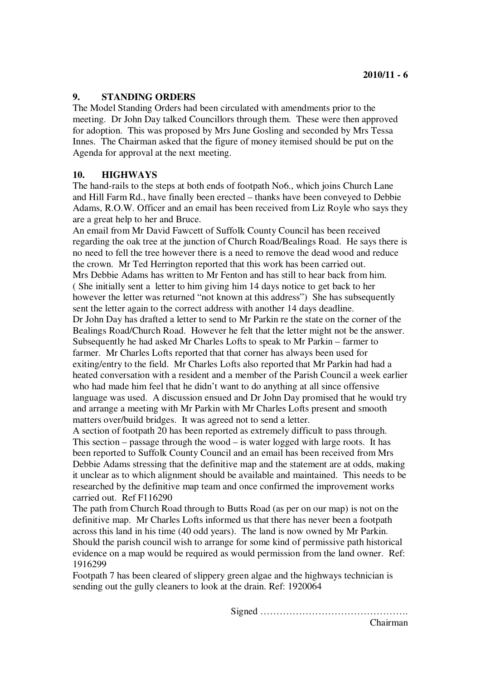## **9. STANDING ORDERS**

The Model Standing Orders had been circulated with amendments prior to the meeting. Dr John Day talked Councillors through them. These were then approved for adoption. This was proposed by Mrs June Gosling and seconded by Mrs Tessa Innes. The Chairman asked that the figure of money itemised should be put on the Agenda for approval at the next meeting.

## **10. HIGHWAYS**

The hand-rails to the steps at both ends of footpath No6., which joins Church Lane and Hill Farm Rd., have finally been erected – thanks have been conveyed to Debbie Adams, R.O.W. Officer and an email has been received from Liz Royle who says they are a great help to her and Bruce.

An email from Mr David Fawcett of Suffolk County Council has been received regarding the oak tree at the junction of Church Road/Bealings Road. He says there is no need to fell the tree however there is a need to remove the dead wood and reduce the crown. Mr Ted Herrington reported that this work has been carried out. Mrs Debbie Adams has written to Mr Fenton and has still to hear back from him. ( She initially sent a letter to him giving him 14 days notice to get back to her however the letter was returned "not known at this address") She has subsequently sent the letter again to the correct address with another 14 days deadline. Dr John Day has drafted a letter to send to Mr Parkin re the state on the corner of the Bealings Road/Church Road. However he felt that the letter might not be the answer. Subsequently he had asked Mr Charles Lofts to speak to Mr Parkin – farmer to farmer. Mr Charles Lofts reported that that corner has always been used for exiting/entry to the field. Mr Charles Lofts also reported that Mr Parkin had had a heated conversation with a resident and a member of the Parish Council a week earlier who had made him feel that he didn't want to do anything at all since offensive language was used. A discussion ensued and Dr John Day promised that he would try and arrange a meeting with Mr Parkin with Mr Charles Lofts present and smooth matters over/build bridges. It was agreed not to send a letter.

A section of footpath 20 has been reported as extremely difficult to pass through. This section – passage through the wood – is water logged with large roots. It has been reported to Suffolk County Council and an email has been received from Mrs Debbie Adams stressing that the definitive map and the statement are at odds, making it unclear as to which alignment should be available and maintained. This needs to be researched by the definitive map team and once confirmed the improvement works carried out. Ref F116290

The path from Church Road through to Butts Road (as per on our map) is not on the definitive map. Mr Charles Lofts informed us that there has never been a footpath across this land in his time (40 odd years). The land is now owned by Mr Parkin. Should the parish council wish to arrange for some kind of permissive path historical evidence on a map would be required as would permission from the land owner. Ref: 1916299

Footpath 7 has been cleared of slippery green algae and the highways technician is sending out the gully cleaners to look at the drain. Ref: 1920064

Signed ……………………………………….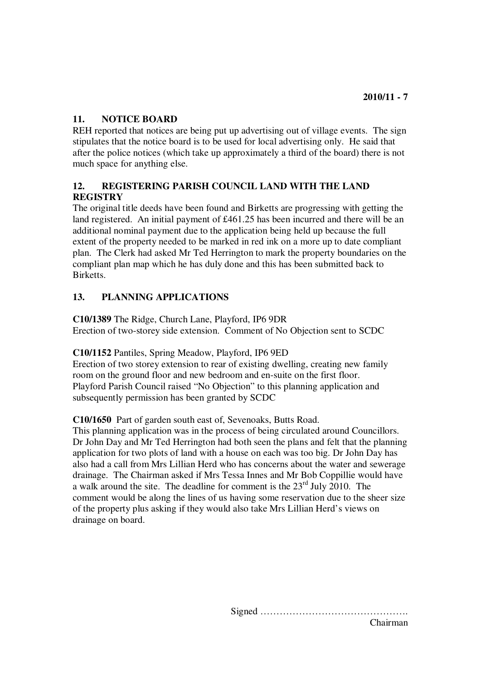## **11. NOTICE BOARD**

REH reported that notices are being put up advertising out of village events. The sign stipulates that the notice board is to be used for local advertising only. He said that after the police notices (which take up approximately a third of the board) there is not much space for anything else.

## **12. REGISTERING PARISH COUNCIL LAND WITH THE LAND REGISTRY**

The original title deeds have been found and Birketts are progressing with getting the land registered. An initial payment of £461.25 has been incurred and there will be an additional nominal payment due to the application being held up because the full extent of the property needed to be marked in red ink on a more up to date compliant plan. The Clerk had asked Mr Ted Herrington to mark the property boundaries on the compliant plan map which he has duly done and this has been submitted back to Birketts.

## **13. PLANNING APPLICATIONS**

**C10/1389** The Ridge, Church Lane, Playford, IP6 9DR Erection of two-storey side extension. Comment of No Objection sent to SCDC

## **C10/1152** Pantiles, Spring Meadow, Playford, IP6 9ED

Erection of two storey extension to rear of existing dwelling, creating new family room on the ground floor and new bedroom and en-suite on the first floor. Playford Parish Council raised "No Objection" to this planning application and subsequently permission has been granted by SCDC

## **C10/1650** Part of garden south east of, Sevenoaks, Butts Road.

This planning application was in the process of being circulated around Councillors. Dr John Day and Mr Ted Herrington had both seen the plans and felt that the planning application for two plots of land with a house on each was too big. Dr John Day has also had a call from Mrs Lillian Herd who has concerns about the water and sewerage drainage. The Chairman asked if Mrs Tessa Innes and Mr Bob Coppillie would have a walk around the site. The deadline for comment is the  $23<sup>rd</sup>$  July 2010. The comment would be along the lines of us having some reservation due to the sheer size of the property plus asking if they would also take Mrs Lillian Herd's views on drainage on board.